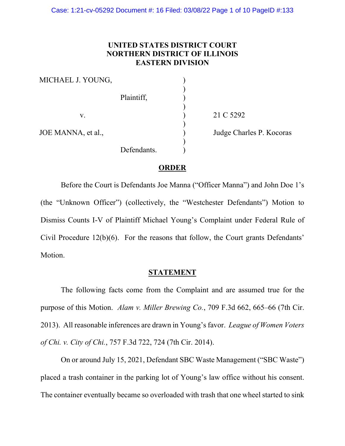# **UNITED STATES DISTRICT COURT NORTHERN DISTRICT OF ILLINOIS EASTERN DIVISION**

| MICHAEL J. YOUNG,  |             |  |
|--------------------|-------------|--|
|                    | Plaintiff,  |  |
| V.                 |             |  |
| JOE MANNA, et al., |             |  |
|                    | Defendants. |  |

21 C 5292

Judge Charles P. Kocoras

## **ORDER**

Before the Court is Defendants Joe Manna ("Officer Manna") and John Doe 1's (the "Unknown Officer") (collectively, the "Westchester Defendants") Motion to Dismiss Counts I-V of Plaintiff Michael Young's Complaint under Federal Rule of Civil Procedure 12(b)(6). For the reasons that follow, the Court grants Defendants' Motion.

## **STATEMENT**

The following facts come from the Complaint and are assumed true for the purpose of this Motion. *Alam v. Miller Brewing Co.*, 709 F.3d 662, 665–66 (7th Cir. 2013). All reasonable inferences are drawn in Young's favor. *League of Women Voters of Chi. v. City of Chi.*, 757 F.3d 722, 724 (7th Cir. 2014).

On or around July 15, 2021, Defendant SBC Waste Management ("SBC Waste") placed a trash container in the parking lot of Young's law office without his consent. The container eventually became so overloaded with trash that one wheel started to sink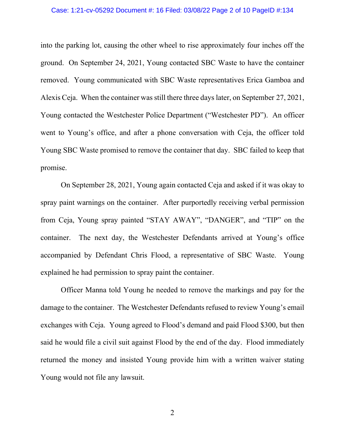#### Case: 1:21-cv-05292 Document #: 16 Filed: 03/08/22 Page 2 of 10 PageID #:134

into the parking lot, causing the other wheel to rise approximately four inches off the ground. On September 24, 2021, Young contacted SBC Waste to have the container removed. Young communicated with SBC Waste representatives Erica Gamboa and Alexis Ceja. When the container was still there three days later, on September 27, 2021, Young contacted the Westchester Police Department ("Westchester PD"). An officer went to Young's office, and after a phone conversation with Ceja, the officer told Young SBC Waste promised to remove the container that day. SBC failed to keep that promise.

On September 28, 2021, Young again contacted Ceja and asked if it was okay to spray paint warnings on the container. After purportedly receiving verbal permission from Ceja, Young spray painted "STAY AWAY", "DANGER", and "TIP" on the container. The next day, the Westchester Defendants arrived at Young's office accompanied by Defendant Chris Flood, a representative of SBC Waste. Young explained he had permission to spray paint the container.

Officer Manna told Young he needed to remove the markings and pay for the damage to the container. The Westchester Defendants refused to review Young's email exchanges with Ceja. Young agreed to Flood's demand and paid Flood \$300, but then said he would file a civil suit against Flood by the end of the day. Flood immediately returned the money and insisted Young provide him with a written waiver stating Young would not file any lawsuit.

2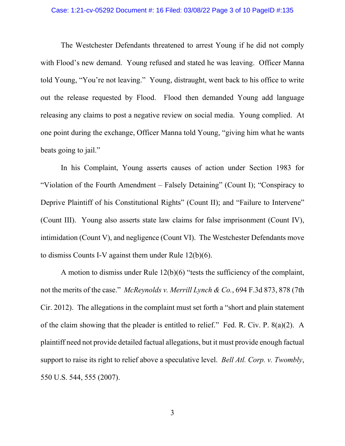#### Case: 1:21-cv-05292 Document #: 16 Filed: 03/08/22 Page 3 of 10 PageID #:135

The Westchester Defendants threatened to arrest Young if he did not comply with Flood's new demand. Young refused and stated he was leaving. Officer Manna told Young, "You're not leaving." Young, distraught, went back to his office to write out the release requested by Flood. Flood then demanded Young add language releasing any claims to post a negative review on social media. Young complied. At one point during the exchange, Officer Manna told Young, "giving him what he wants beats going to jail."

In his Complaint, Young asserts causes of action under Section 1983 for "Violation of the Fourth Amendment – Falsely Detaining" (Count I); "Conspiracy to Deprive Plaintiff of his Constitutional Rights" (Count II); and "Failure to Intervene" (Count III). Young also asserts state law claims for false imprisonment (Count IV), intimidation (Count V), and negligence (Count VI). The Westchester Defendants move to dismiss Counts I-V against them under Rule 12(b)(6).

A motion to dismiss under Rule 12(b)(6) "tests the sufficiency of the complaint, not the merits of the case." *McReynolds v. Merrill Lynch & Co.*, 694 F.3d 873, 878 (7th Cir. 2012). The allegations in the complaint must set forth a "short and plain statement of the claim showing that the pleader is entitled to relief." Fed. R. Civ. P. 8(a)(2). A plaintiff need not provide detailed factual allegations, but it must provide enough factual support to raise its right to relief above a speculative level. *Bell Atl. Corp. v. Twombly*, 550 U.S. 544, 555 (2007).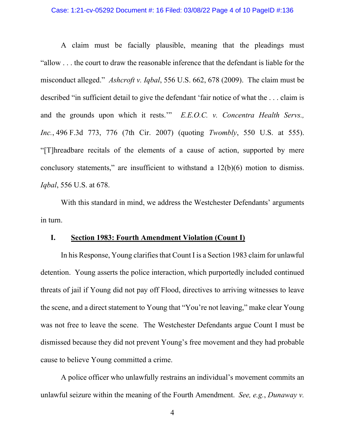## Case: 1:21-cv-05292 Document #: 16 Filed: 03/08/22 Page 4 of 10 PageID #:136

A claim must be facially plausible, meaning that the pleadings must "allow . . . the court to draw the reasonable inference that the defendant is liable for the misconduct alleged." *Ashcroft v. Iqbal*, 556 U.S. 662, 678 (2009). The claim must be described "in sufficient detail to give the defendant 'fair notice of what the . . . claim is and the grounds upon which it rests.'" *E.E.O.C. v. Concentra Health Servs., Inc.*, 496 F.3d 773, 776 (7th Cir. 2007) (quoting *Twombly*, 550 U.S. at 555). "[T]hreadbare recitals of the elements of a cause of action, supported by mere conclusory statements," are insufficient to withstand a 12(b)(6) motion to dismiss. *Iqbal*, 556 U.S. at 678.

With this standard in mind, we address the Westchester Defendants' arguments in turn.

### **I. Section 1983: Fourth Amendment Violation (Count I)**

In his Response, Young clarifies that Count I is a Section 1983 claim for unlawful detention. Young asserts the police interaction, which purportedly included continued threats of jail if Young did not pay off Flood, directives to arriving witnesses to leave the scene, and a direct statement to Young that "You're not leaving," make clear Young was not free to leave the scene. The Westchester Defendants argue Count I must be dismissed because they did not prevent Young's free movement and they had probable cause to believe Young committed a crime.

A police officer who unlawfully restrains an individual's movement commits an unlawful seizure within the meaning of the Fourth Amendment. *See, e.g.*, *Dunaway v.*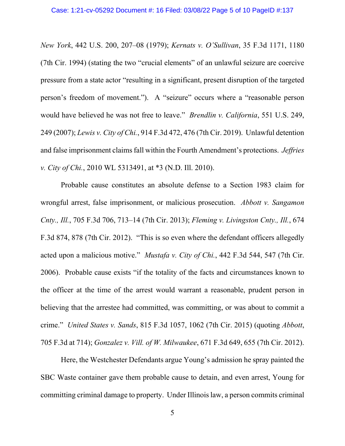*New York*, 442 U.S. 200, 207–08 (1979); *Kernats v. O'Sullivan*, 35 F.3d 1171, 1180 (7th Cir. 1994) (stating the two "crucial elements" of an unlawful seizure are coercive pressure from a state actor "resulting in a significant, present disruption of the targeted person's freedom of movement."). A "seizure" occurs where a "reasonable person would have believed he was not free to leave." *Brendlin v. California*, 551 U.S. 249, 249 (2007); *Lewis v. City of Chi.*, 914 F.3d 472, 476 (7th Cir. 2019). Unlawful detention and false imprisonment claims fall within the Fourth Amendment's protections. *Jeffries v. City of Chi.*, 2010 WL 5313491, at \*3 (N.D. Ill. 2010).

Probable cause constitutes an absolute defense to a Section 1983 claim for wrongful arrest, false imprisonment, or malicious prosecution. *Abbott v. Sangamon Cnty., Ill.*, 705 F.3d 706, 713–14 (7th Cir. 2013); *Fleming v. Livingston Cnty., Ill.*, 674 F.3d 874, 878 (7th Cir. 2012). "This is so even where the defendant officers allegedly acted upon a malicious motive." *Mustafa v. City of Chi.*, 442 F.3d 544, 547 (7th Cir. 2006). Probable cause exists "if the totality of the facts and circumstances known to the officer at the time of the arrest would warrant a reasonable, prudent person in believing that the arrestee had committed, was committing, or was about to commit a crime." *United States v. Sands*, 815 F.3d 1057, 1062 (7th Cir. 2015) (quoting *Abbott*, 705 F.3d at 714); *Gonzalez v. Vill. of W. Milwaukee*, 671 F.3d 649, 655 (7th Cir. 2012).

Here, the Westchester Defendants argue Young's admission he spray painted the SBC Waste container gave them probable cause to detain, and even arrest, Young for committing criminal damage to property. Under Illinois law, a person commits criminal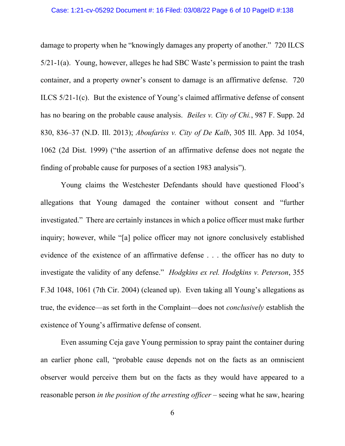### Case: 1:21-cv-05292 Document #: 16 Filed: 03/08/22 Page 6 of 10 PageID #:138

damage to property when he "knowingly damages any property of another." 720 ILCS 5/21-1(a). Young, however, alleges he had SBC Waste's permission to paint the trash container, and a property owner's consent to damage is an affirmative defense. 720 ILCS 5/21-1(c). But the existence of Young's claimed affirmative defense of consent has no bearing on the probable cause analysis. *Beiles v. City of Chi.*, 987 F. Supp. 2d 830, 836–37 (N.D. Ill. 2013); *Aboufariss v. City of De Kalb*, 305 Ill. App. 3d 1054, 1062 (2d Dist. 1999) ("the assertion of an affirmative defense does not negate the finding of probable cause for purposes of a section 1983 analysis").

Young claims the Westchester Defendants should have questioned Flood's allegations that Young damaged the container without consent and "further investigated." There are certainly instances in which a police officer must make further inquiry; however, while "[a] police officer may not ignore conclusively established evidence of the existence of an affirmative defense . . . the officer has no duty to investigate the validity of any defense." *Hodgkins ex rel. Hodgkins v. Peterson*, 355 F.3d 1048, 1061 (7th Cir. 2004) (cleaned up). Even taking all Young's allegations as true, the evidence—as set forth in the Complaint—does not *conclusively* establish the existence of Young's affirmative defense of consent.

Even assuming Ceja gave Young permission to spray paint the container during an earlier phone call, "probable cause depends not on the facts as an omniscient observer would perceive them but on the facts as they would have appeared to a reasonable person *in the position of the arresting officer* – seeing what he saw, hearing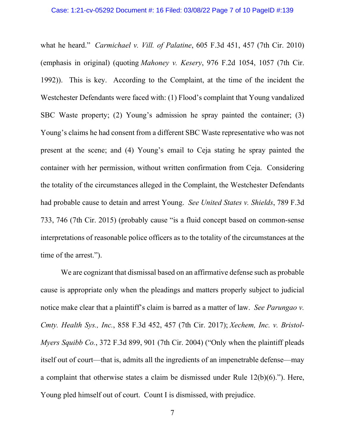what he heard." *Carmichael v. Vill. of Palatine*, 605 F.3d 451, 457 (7th Cir. 2010) (emphasis in original) (quoting *Mahoney v. Kesery*, 976 F.2d 1054, 1057 (7th Cir. 1992)). This is key. According to the Complaint, at the time of the incident the Westchester Defendants were faced with: (1) Flood's complaint that Young vandalized SBC Waste property; (2) Young's admission he spray painted the container; (3) Young's claims he had consent from a different SBC Waste representative who was not present at the scene; and (4) Young's email to Ceja stating he spray painted the container with her permission, without written confirmation from Ceja. Considering the totality of the circumstances alleged in the Complaint, the Westchester Defendants had probable cause to detain and arrest Young. *See United States v. Shields*, 789 F.3d 733, 746 (7th Cir. 2015) (probably cause "is a fluid concept based on common-sense interpretations of reasonable police officers as to the totality of the circumstances at the time of the arrest.").

We are cognizant that dismissal based on an affirmative defense such as probable cause is appropriate only when the pleadings and matters properly subject to judicial notice make clear that a plaintiff's claim is barred as a matter of law. *See Parungao v. Cmty. Health Sys., Inc.*, 858 F.3d 452, 457 (7th Cir. 2017); *Xechem, Inc. v. Bristol-Myers Squibb Co.*, 372 F.3d 899, 901 (7th Cir. 2004) ("Only when the plaintiff pleads itself out of court—that is, admits all the ingredients of an impenetrable defense—may a complaint that otherwise states a claim be dismissed under Rule 12(b)(6)."). Here, Young pled himself out of court. Count I is dismissed, with prejudice.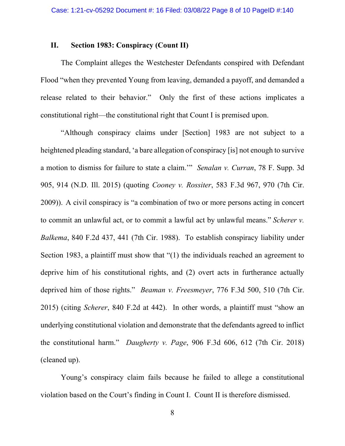### **II. Section 1983: Conspiracy (Count II)**

The Complaint alleges the Westchester Defendants conspired with Defendant Flood "when they prevented Young from leaving, demanded a payoff, and demanded a release related to their behavior." Only the first of these actions implicates a constitutional right—the constitutional right that Count I is premised upon.

"Although conspiracy claims under [Section] 1983 are not subject to a heightened pleading standard, 'a bare allegation of conspiracy [is] not enough to survive a motion to dismiss for failure to state a claim.'" *Senalan v. Curran*, 78 F. Supp. 3d 905, 914 (N.D. Ill. 2015) (quoting *Cooney v. Rossiter*, 583 F.3d 967, 970 (7th Cir. 2009)). A civil conspiracy is "a combination of two or more persons acting in concert to commit an unlawful act, or to commit a lawful act by unlawful means." *Scherer v. Balkema*, 840 F.2d 437, 441 (7th Cir. 1988). To establish conspiracy liability under Section 1983, a plaintiff must show that "(1) the individuals reached an agreement to deprive him of his constitutional rights, and (2) overt acts in furtherance actually deprived him of those rights." *Beaman v. Freesmeyer*, 776 F.3d 500, 510 (7th Cir. 2015) (citing *Scherer*, 840 F.2d at 442). In other words, a plaintiff must "show an underlying constitutional violation and demonstrate that the defendants agreed to inflict the constitutional harm." *Daugherty v. Page*, 906 F.3d 606, 612 (7th Cir. 2018) (cleaned up).

Young's conspiracy claim fails because he failed to allege a constitutional violation based on the Court's finding in Count I. Count II is therefore dismissed.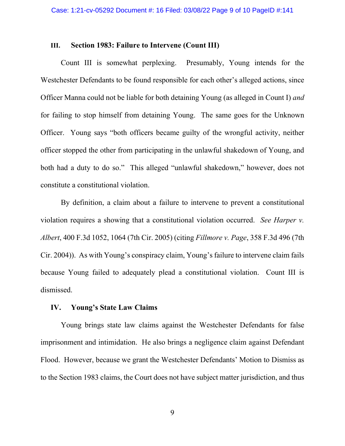### **III. Section 1983: Failure to Intervene (Count III)**

Count III is somewhat perplexing. Presumably, Young intends for the Westchester Defendants to be found responsible for each other's alleged actions, since Officer Manna could not be liable for both detaining Young (as alleged in Count I) *and* for failing to stop himself from detaining Young. The same goes for the Unknown Officer. Young says "both officers became guilty of the wrongful activity, neither officer stopped the other from participating in the unlawful shakedown of Young, and both had a duty to do so." This alleged "unlawful shakedown," however, does not constitute a constitutional violation.

By definition, a claim about a failure to intervene to prevent a constitutional violation requires a showing that a constitutional violation occurred. *See Harper v. Albert*, 400 F.3d 1052, 1064 (7th Cir. 2005) (citing *Fillmore v. Page*, 358 F.3d 496 (7th Cir. 2004)). As with Young's conspiracy claim, Young's failure to intervene claim fails because Young failed to adequately plead a constitutional violation. Count III is dismissed.

## **IV. Young's State Law Claims**

Young brings state law claims against the Westchester Defendants for false imprisonment and intimidation. He also brings a negligence claim against Defendant Flood. However, because we grant the Westchester Defendants' Motion to Dismiss as to the Section 1983 claims, the Court does not have subject matter jurisdiction, and thus